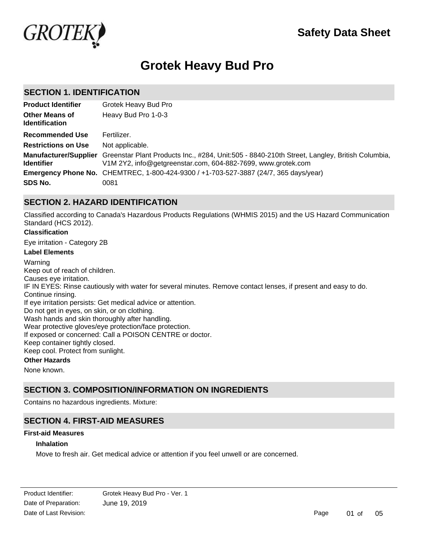

# **Grotek Heavy Bud Pro**

### **SECTION 1. IDENTIFICATION**

| <b>Product Identifier</b>                      | Grotek Heavy Bud Pro                                                                                                                                                                |
|------------------------------------------------|-------------------------------------------------------------------------------------------------------------------------------------------------------------------------------------|
| <b>Other Means of</b><br><b>Identification</b> | Heavy Bud Pro 1-0-3                                                                                                                                                                 |
| <b>Recommended Use</b>                         | Fertilizer.                                                                                                                                                                         |
| <b>Restrictions on Use</b>                     | Not applicable.                                                                                                                                                                     |
| <b>Identifier</b>                              | Manufacturer/Supplier Greenstar Plant Products Inc., #284, Unit:505 - 8840-210th Street, Langley, British Columbia,<br>V1M 2Y2, info@getgreenstar.com, 604-882-7699, www.grotek.com |
|                                                | Emergency Phone No. CHEMTREC, 1-800-424-9300 / +1-703-527-3887 (24/7, 365 days/year)                                                                                                |
| SDS No.                                        | 0081                                                                                                                                                                                |

# **SECTION 2. HAZARD IDENTIFICATION**

Classified according to Canada's Hazardous Products Regulations (WHMIS 2015) and the US Hazard Communication Standard (HCS 2012).

### **Classification**

Eye irritation - Category 2B

### **Label Elements**

Warning Keep out of reach of children. Causes eye irritation. IF IN EYES: Rinse cautiously with water for several minutes. Remove contact lenses, if present and easy to do. Continue rinsing. If eye irritation persists: Get medical advice or attention. Do not get in eyes, on skin, or on clothing. Wash hands and skin thoroughly after handling. Wear protective gloves/eye protection/face protection. If exposed or concerned: Call a POISON CENTRE or doctor. Keep container tightly closed. Keep cool. Protect from sunlight. **Other Hazards**

None known.

# **SECTION 3. COMPOSITION/INFORMATION ON INGREDIENTS**

Contains no hazardous ingredients. Mixture:

# **SECTION 4. FIRST-AID MEASURES**

### **First-aid Measures**

### **Inhalation**

Move to fresh air. Get medical advice or attention if you feel unwell or are concerned.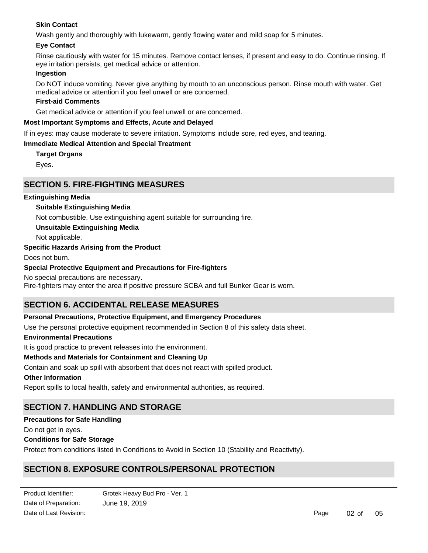### **Skin Contact**

Wash gently and thoroughly with lukewarm, gently flowing water and mild soap for 5 minutes.

### **Eye Contact**

Rinse cautiously with water for 15 minutes. Remove contact lenses, if present and easy to do. Continue rinsing. If eye irritation persists, get medical advice or attention.

### **Ingestion**

Do NOT induce vomiting. Never give anything by mouth to an unconscious person. Rinse mouth with water. Get medical advice or attention if you feel unwell or are concerned.

### **First-aid Comments**

Get medical advice or attention if you feel unwell or are concerned.

### **Most Important Symptoms and Effects, Acute and Delayed**

If in eyes: may cause moderate to severe irritation. Symptoms include sore, red eyes, and tearing.

### **Immediate Medical Attention and Special Treatment**

**Target Organs**

Eyes.

### **SECTION 5. FIRE-FIGHTING MEASURES**

### **Extinguishing Media**

### **Suitable Extinguishing Media**

Not combustible. Use extinguishing agent suitable for surrounding fire.

**Unsuitable Extinguishing Media**

Not applicable.

### **Specific Hazards Arising from the Product**

Does not burn.

### **Special Protective Equipment and Precautions for Fire-fighters**

No special precautions are necessary.

Fire-fighters may enter the area if positive pressure SCBA and full Bunker Gear is worn.

# **SECTION 6. ACCIDENTAL RELEASE MEASURES**

### **Personal Precautions, Protective Equipment, and Emergency Procedures**

Use the personal protective equipment recommended in Section 8 of this safety data sheet.

### **Environmental Precautions**

It is good practice to prevent releases into the environment.

### **Methods and Materials for Containment and Cleaning Up**

Contain and soak up spill with absorbent that does not react with spilled product.

### **Other Information**

Report spills to local health, safety and environmental authorities, as required.

# **SECTION 7. HANDLING AND STORAGE**

### **Precautions for Safe Handling**

Do not get in eyes.

### **Conditions for Safe Storage**

Protect from conditions listed in Conditions to Avoid in Section 10 (Stability and Reactivity).

# **SECTION 8. EXPOSURE CONTROLS/PERSONAL PROTECTION**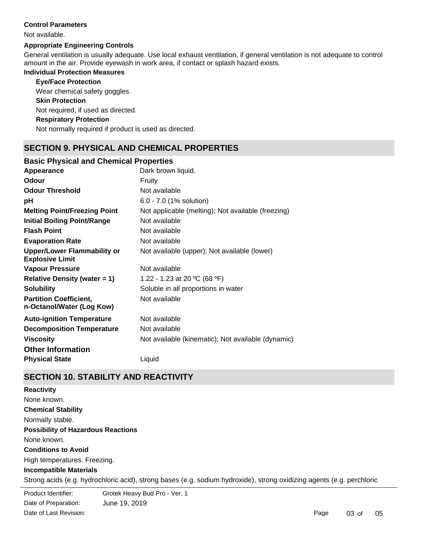### **Control Parameters**

#### Not available.

### **Appropriate Engineering Controls**

General ventilation is usually adequate. Use local exhaust ventilation, if general ventilation is not adequate to control amount in the air. Provide eyewash in work area, if contact or splash hazard exists.

### **Individual Protection Measures**

### **Eye/Face Protection**

Wear chemical safety goggles.

### **Skin Protection**

Not required, if used as directed.

### **Respiratory Protection**

Not normally required if product is used as directed.

# **SECTION 9. PHYSICAL AND CHEMICAL PROPERTIES**

### **Basic Physical and Chemical Properties**

| Appearance                                                   | Dark brown liquid.                                 |
|--------------------------------------------------------------|----------------------------------------------------|
| <b>Odour</b>                                                 | Fruity                                             |
| <b>Odour Threshold</b>                                       | Not available                                      |
| рH                                                           | 6.0 - 7.0 (1% solution)                            |
| <b>Melting Point/Freezing Point</b>                          | Not applicable (melting); Not available (freezing) |
| <b>Initial Boiling Point/Range</b>                           | Not available                                      |
| <b>Flash Point</b>                                           | Not available                                      |
| <b>Evaporation Rate</b>                                      | Not available                                      |
| <b>Upper/Lower Flammability or</b><br><b>Explosive Limit</b> | Not available (upper); Not available (lower)       |
| <b>Vapour Pressure</b>                                       | Not available                                      |
| <b>Relative Density (water = 1)</b>                          | 1.22 - 1.23 at 20 °C (68 °F)                       |
| <b>Solubility</b>                                            | Soluble in all proportions in water                |
| <b>Partition Coefficient,</b><br>n-Octanol/Water (Log Kow)   | Not available                                      |
| <b>Auto-ignition Temperature</b>                             | Not available                                      |
| <b>Decomposition Temperature</b>                             | Not available                                      |
| <b>Viscosity</b>                                             | Not available (kinematic); Not available (dynamic) |
| <b>Other Information</b>                                     |                                                    |
| <b>Physical State</b>                                        | Liquid                                             |

# **SECTION 10. STABILITY AND REACTIVITY**

**Chemical Stability** Normally stable. **Conditions to Avoid** High temperatures. Freezing. **Incompatible Materials** Strong acids (e.g. hydrochloric acid), strong bases (e.g. sodium hydroxide), strong oxidizing agents (e.g. perchloric **Possibility of Hazardous Reactions** None known. **Reactivity** None known.

Product Identifier: Date of Preparation: June 19, 2019 Grotek Heavy Bud Pro - Ver. 1 Date of Last Revision: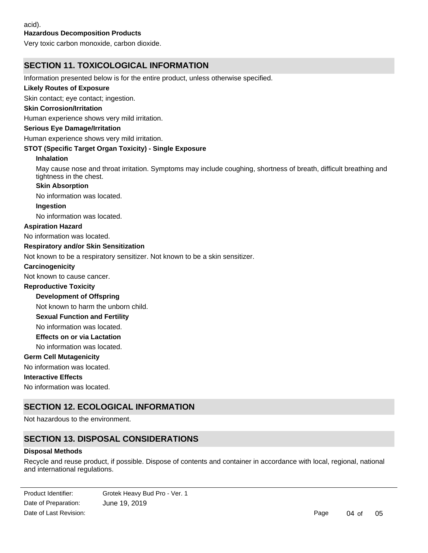### **Hazardous Decomposition Products**

Very toxic carbon monoxide, carbon dioxide.

# **SECTION 11. TOXICOLOGICAL INFORMATION**

Information presented below is for the entire product, unless otherwise specified.

### **Likely Routes of Exposure**

Skin contact; eye contact; ingestion.

### **Skin Corrosion/Irritation**

Human experience shows very mild irritation.

#### **Serious Eye Damage/Irritation**

Human experience shows very mild irritation.

### **STOT (Specific Target Organ Toxicity) - Single Exposure**

#### **Inhalation**

May cause nose and throat irritation. Symptoms may include coughing, shortness of breath, difficult breathing and tightness in the chest.

#### **Skin Absorption**

No information was located.

#### **Ingestion**

No information was located.

### **Aspiration Hazard**

No information was located.

### **Respiratory and/or Skin Sensitization**

Not known to be a respiratory sensitizer. Not known to be a skin sensitizer.

#### **Carcinogenicity**

Not known to cause cancer.

### **Reproductive Toxicity**

**Development of Offspring**

Not known to harm the unborn child.

### **Sexual Function and Fertility**

No information was located.

**Effects on or via Lactation**

No information was located.

### **Germ Cell Mutagenicity**

No information was located.

### **Interactive Effects**

No information was located.

# **SECTION 12. ECOLOGICAL INFORMATION**

Not hazardous to the environment.

# **SECTION 13. DISPOSAL CONSIDERATIONS**

### **Disposal Methods**

Recycle and reuse product, if possible. Dispose of contents and container in accordance with local, regional, national and international regulations.

Date of Preparation: June 19, 2019 Product Identifier: Grotek Heavy Bud Pro - Ver. 1 Date of Last Revision: